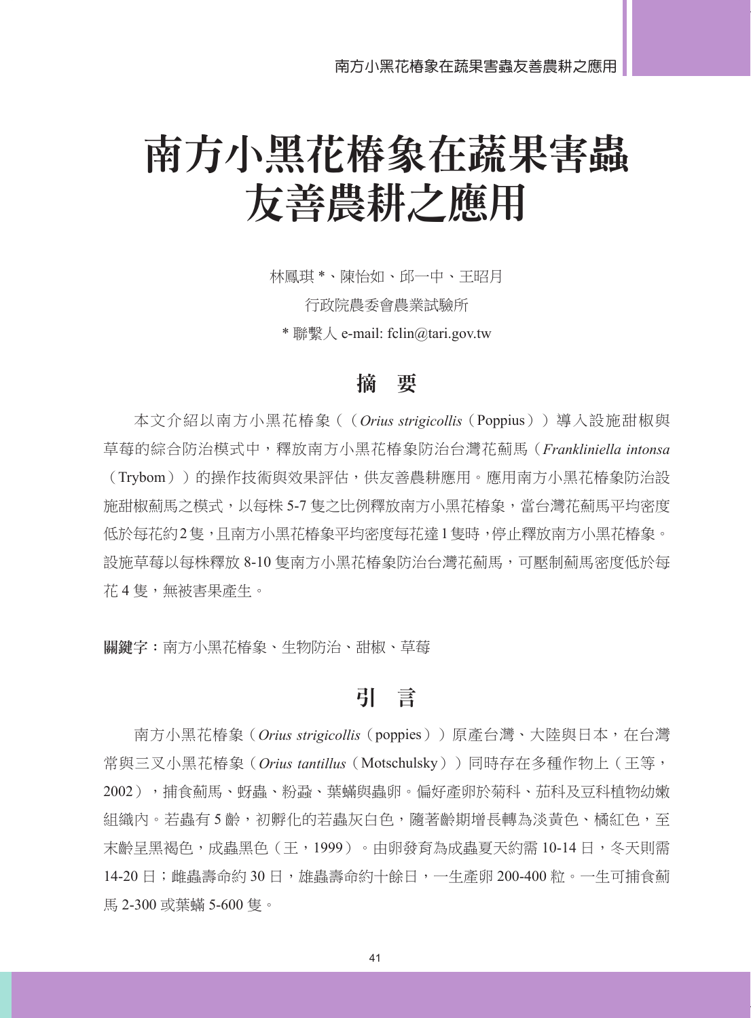# 南方小黑花椿象在蔬果害蟲 友善農耕之應用

林鳳琪 \*、陳怡如、邱一中、王昭月

行政院農委會農業試驗所

\* 聯繫人 e-mail: fclin@tari.gov.tw

#### 摘 要

本文介紹以南方小黑花椿象((*Orius strigicollis*(Poppius))導入設施甜椒與 草莓的綜合防治模式中,釋放南方小黑花椿象防治台灣花薊馬(*Frankliniella intonsa* (Trybom))的操作技術與效果評估,供友善農耕應用。應用南方小黑花椿象防治設 施甜椒薊馬之模式,以每株 5-7 隻之比例釋放南方小黑花椿象,當台灣花薊馬平均密度 低於每花約2隻,且南方小黑花椿象平均密度每花達1隻時,停止釋放南方小黑花椿象。 設施草莓以每株釋放 8-10 隻南方小黑花椿象防治台灣花薊馬,可壓制薊馬密度低於每 花 4 隻,無被害果產生。

**關鍵字:**南方小黑花椿象、生物防治、甜椒、草莓

### 引 言

南方小黑花椿象(*Orius strigicollis*(poppies))原產台灣、大陸與日本,在台灣 常與三叉小黑花椿象(*Orius tantillus*(Motschulsky))同時存在多種作物上(王等, 2002),捕食薊馬、蚜蟲、粉蝨、葉蟎與蟲卵。偏好產卵於菊科、茄科及豆科植物幼嫩 組織內。若蟲有5齡,初孵化的若蟲灰白色,隨著齡期增長轉為淡黃色、橘紅色,至 末齡呈黑褐色,成蟲黑色(王,1999)。由卵發育為成蟲夏天約需 10-14 日,冬天則需 14-20 日;雌蟲壽命約 30 日,雄蟲壽命約十餘日,一生產卵 200-400 粒。一生可捕食薊 馬 2-300 或葉蟎 5-600 隻。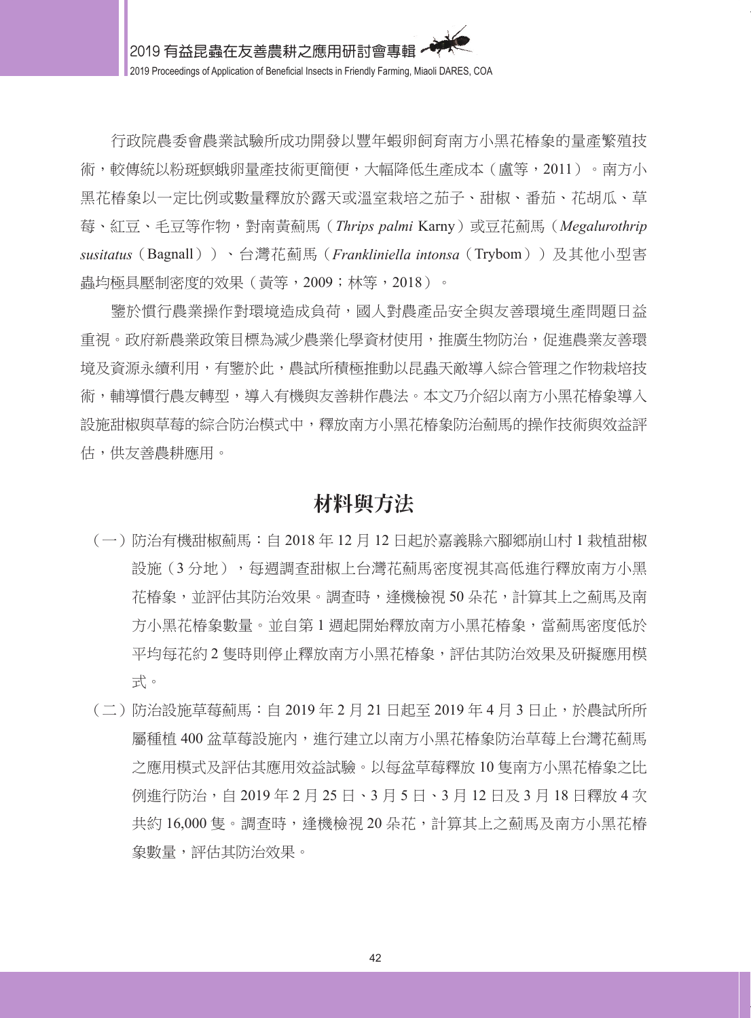行政院農委會農業試驗所成功開發以豐年蝦卵飼育南方小黑花椿象的量產繁殖技 術,較傳統以粉斑螟蛾卵量產技術更簡便,大幅降低生產成本(盧等,2011)。南方小 黑花椿象以一定比例或數量釋放於露天或溫室栽培之茄子、甜椒、番茄、花胡瓜、草 莓、紅豆、毛豆等作物,對南黃薊馬(*Thrips palmi* Karny)或豆花薊馬(*Megalurothrip susitatus*(Bagnall))、台灣花薊馬(*Frankliniella intonsa*(Trybom))及其他小型害 蟲均極具壓制密度的效果(黃等,2009;林等,2018)。

鑒於慣行農業操作對環境造成負荷,國人對農產品安全與友善環境生產問題日益 重視。政府新農業政策目標為減少農業化學資材使用,推廣生物防治,促進農業友善環 境及資源永續利用,有鑒於此,農試所積極推動以昆蟲天敵導入綜合管理之作物栽培技 術,輔導慣行農友轉型,導入有機與友善耕作農法。本文乃介紹以南方小黑花椿象導入 設施甜椒與草莓的綜合防治模式中,釋放南方小黑花椿象防治薊馬的操作技術與效益評 估,供友善農耕應用。

#### 材料與方法

- (一)防治有機甜椒薊馬:自 2018 年 12 月 12 日起於嘉義縣六腳鄉崩山村 1 栽植甜椒 設施(3分地),每週調查甜椒上台灣花薊馬密度視其高低進行釋放南方小黑 花椿象,並評估其防治效果。調查時,逢機檢視 50 朵花,計算其上之薊馬及南 方小黑花椿象數量。並自第1週起開始釋放南方小黑花椿象,當薊馬密度低於 平均每花約 2 隻時則停止釋放南方小黑花椿象,評估其防治效果及研擬應用模 式。
- (二)防治設施草莓薊馬:自 2019 年 2 月 21 日起至 2019 年 4 月 3 日止,於農試所所 屬種植 400 盆草莓設施內,進行建立以南方小黑花椿象防治草莓上台灣花薊馬 之應用模式及評估其應用效益試驗。以每盆草莓釋放 10 隻南方小黑花椿象之比 例進行防治,自 2019 年 2 月 25 日、3 月 5 日、3 月 12 日及 3 月 18 日釋放 4 次 共約 16,000 隻。調查時,逢機檢視 20 朵花,計算其上之薊馬及南方小黑花椿 象數量,評估其防治效果。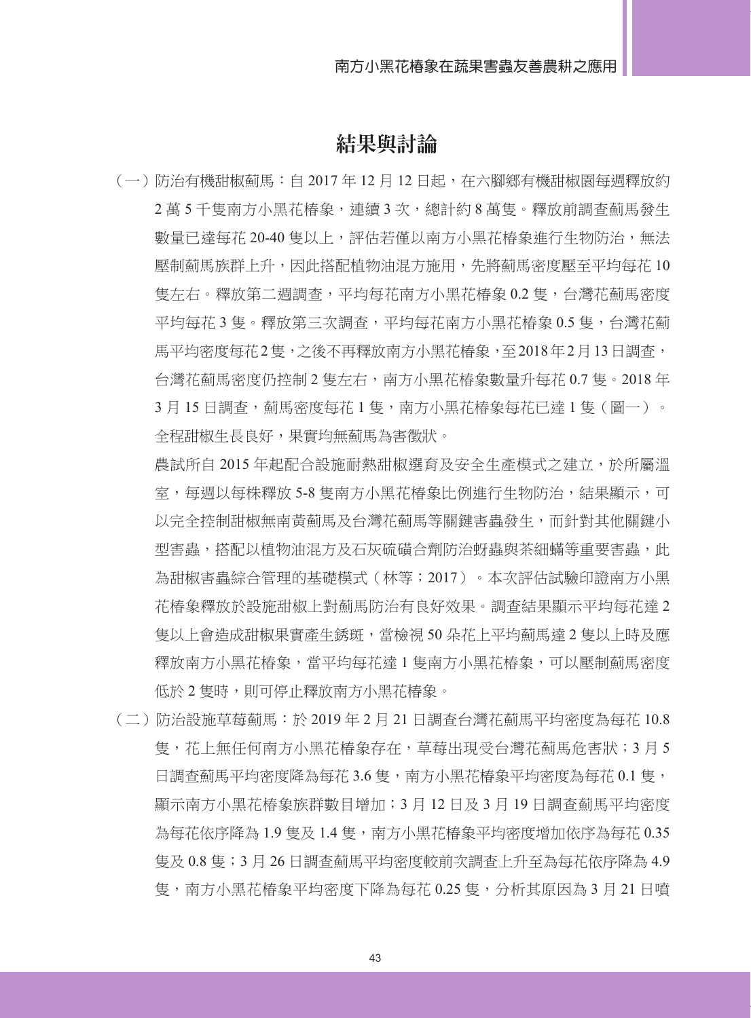#### 結果與討論

(一)防治有機甜椒薊馬:自 2017 年 12 月 12 日起,在六腳鄉有機甜椒園每週釋放約 2 萬 5 千隻南方小黑花椿象,連續 3 次,總計約 8 萬隻。釋放前調查薊馬發生 數量已達每花 20-40 隻以上,評估若僅以南方小黑花椿象進行生物防治,無法 壓制薊馬族群上升,因此搭配植物油混方施用,先將薊馬密度壓至平均每花 10 隻左右。釋放第二週調查,平均每花南方小黑花椿象 0.2 隻,台灣花薊馬密度 平均每花 3 隻。釋放第三次調查,平均每花南方小黑花椿象 0.5 隻,台灣花薊 馬平均密度每花2隻,之後不再釋放南方小黑花椿象,至2018年2月13日調查, 台灣花薊馬密度仍控制 2 隻左右,南方小黑花椿象數量升每花 0.7 隻。2018 年 3 月 15 日調杳,薊馬密度每花 1 隻,南方小黑花椿象每花已達 1 隻(圖一)。 全程甜椒生長良好,果實均無薊馬為害徵狀。

農試所自 2015 年起配合設施耐熱甜椒選育及安全生產模式之建立,於所屬溫 室,每週以每株釋放 5-8 隻南方小黑花椿象比例進行生物防治,結果顯示,可 以完全控制甜椒無南黃薊馬及台灣花薊馬等關鍵害蟲發生,而針對其他關鍵小 型害蟲,搭配以植物油混方及石灰硫磺合劑防治蚜蟲與茶細蟎等重要害蟲,此 為甜椒害蟲綜合管理的基礎模式(林等;2017)。本次評估試驗印證南方小黑 花椿象釋放於設施甜椒上對薊馬防治有良好效果。調查結果顯示平均每花達 2 隻以上會造成甜椒果實產生銹斑,當檢視 50 朵花上平均薊馬達 2 隻以上時及應 釋放南方小黑花椿象,當平均每花達 1 隻南方小黑花椿象,可以壓制薊馬密度 低於 2 隻時,則可停止釋放南方小黑花椿象。

(二)防治設施草莓薊馬:於 2019 年 2 月 21 日調查台灣花薊馬平均密度為每花 10.8 隻,花上無任何南方小黑花椿象存在,草莓出現受台灣花薊馬危害狀;3 月 5 日調杳薊馬平均密度降為每花 3.6 隻,南方小黑花椿象平均密度為每花 0.1 隻, 顯示南方小黑花椿象族群數目增加;3 月 12 日及 3 月 19 日調查薊馬平均密度 為每花依序降為 1.9 隻及 1.4 隻,南方小黑花椿象平均密度增加依序為每花 0.35 隻及 0.8 隻;3 月 26 日調查薊馬平均密度較前次調查上升至為每花依序降為 4.9 隻,南方小黑花椿象平均密度下降為每花 0.25 隻,分析其原因為 3 月 21 日噴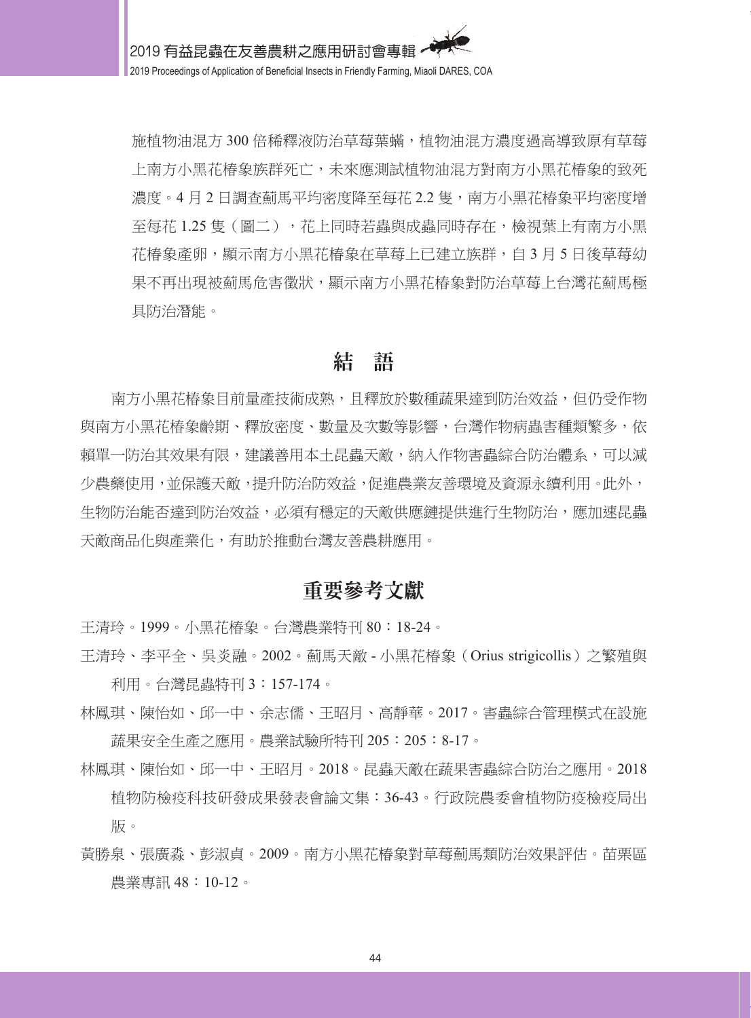施植物油混方 300 倍稀釋液防治草莓葉蟎,植物油混方濃度過高導致原有草莓 上南方小黑花椿象族群死亡,未來應測試植物油混方對南方小黑花椿象的致死 濃度。4 月 2 日調杳薊馬平均密度降至每花 2.2 隻,南方小黑花椿象平均密度增 至每花 1.25 隻(圖二),花上同時若蟲與成蟲同時存在,檢視葉上有南方小黑 花椿象產卵,顯示南方小黑花椿象在草莓上已建立族群,自 3 月 5 日後草莓幼 果不再出現被薊馬危害徵狀,顯示南方小黑花椿象對防治草莓上台灣花薊馬極 具防治潛能。

### 結 語

南方小黑花椿象目前量產技術成熟,且釋放於數種蔬果達到防治效益,但仍受作物 與南方小黑花椿象齡期、釋放密度、數量及次數等影響,台灣作物病蟲害種類繁多,依 賴單一防治其效果有限,建議善用本土昆蟲天敵,納入作物害蟲綜合防治體系,可以減 少農藥使用,並保護天敵,提升防治防效益,促進農業友善環境及資源永續利用。此外, 生物防治能否達到防治效益,必須有穩定的天敵供應鏈提供進行生物防治,應加速昆蟲 天敵商品化與產業化,有助於推動台灣友善農耕應用。

#### 重要參考文獻

王清玲。1999。小黑花椿象。台灣農業特刊 80:18-24。

- 王清玲、李平全、吳炎融。2002。薊馬天敵 小黑花椿象(Orius strigicollis)之繁殖與 利用。台灣昆蟲特刊 3:157-174。
- 林鳳琪、陳怡如、邱一中、余志儒、王昭月、高靜華。2017。害蟲綜合管理模式在設施 蔬果安全生產之應用。農業試驗所特刊 205:205:8-17。
- 林鳳琪、陳怡如、邱一中、王昭月。2018。昆蟲天敵在蔬果害蟲綜合防治之應用。2018 植物防檢疫科技研發成果發表會論文集:36-43。行政院農委會植物防疫檢疫局出 版。
- 黃勝泉、張廣淼、彭淑貞。2009。南方小黑花椿象對草莓薊馬類防治效果評估。苗栗區 農業專訊 48:10-12。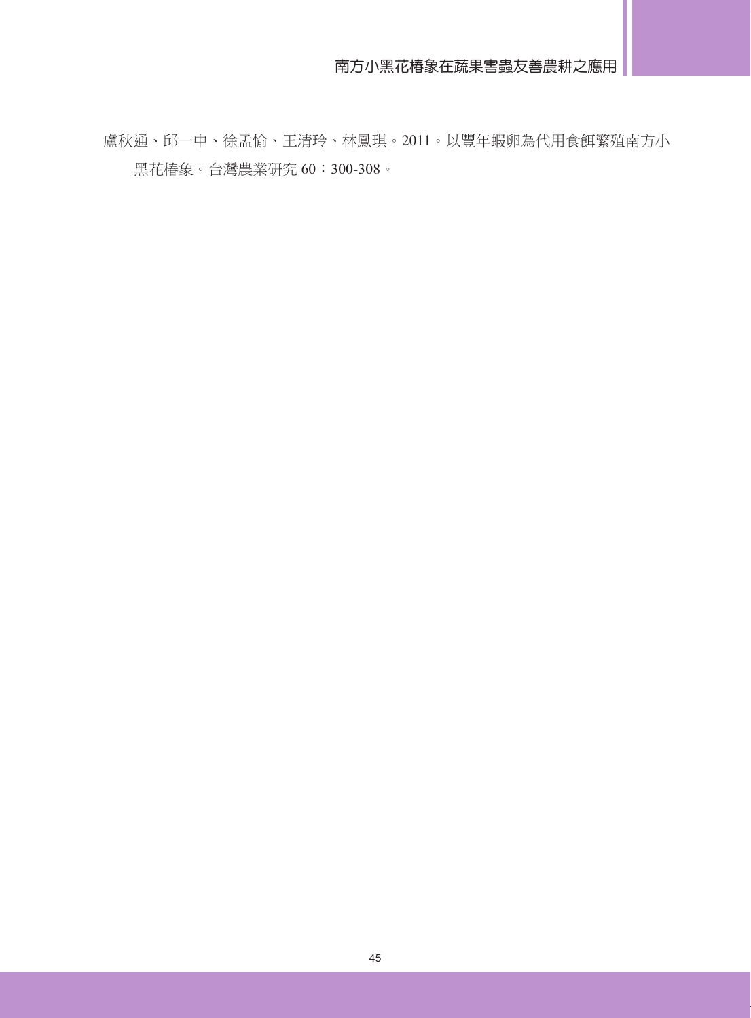盧秋通、邱一中、徐孟愉、王清玲、林鳳琪。2011。以豐年蝦卵為代用食餌繁殖南方小 黑花椿象。台灣農業研究 60:300-308。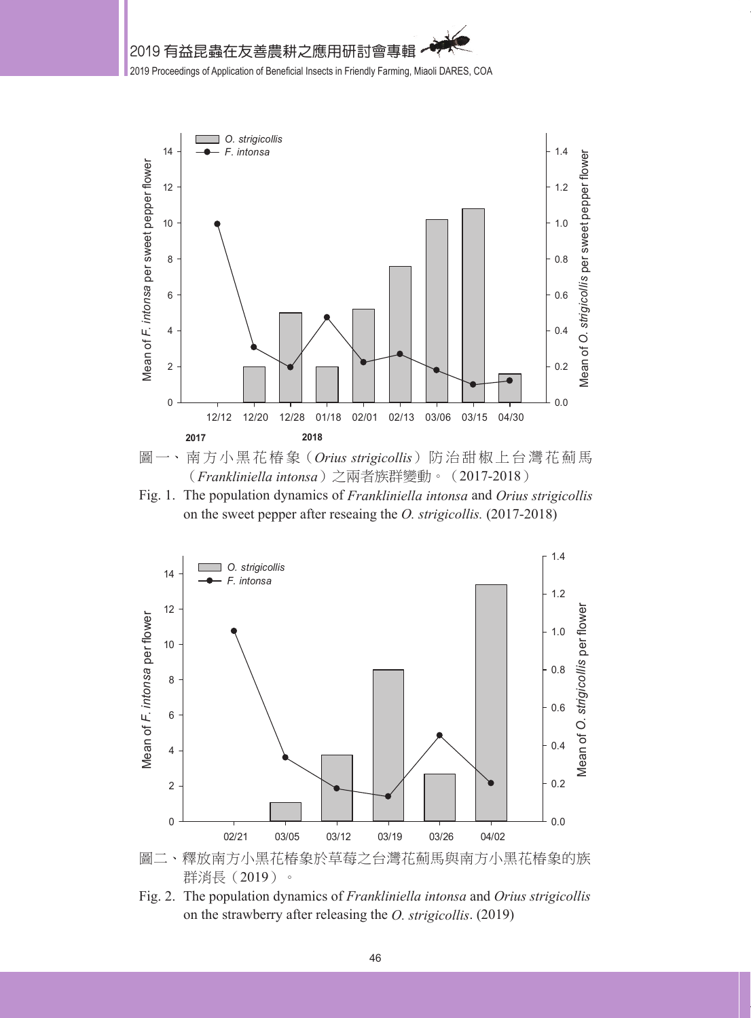